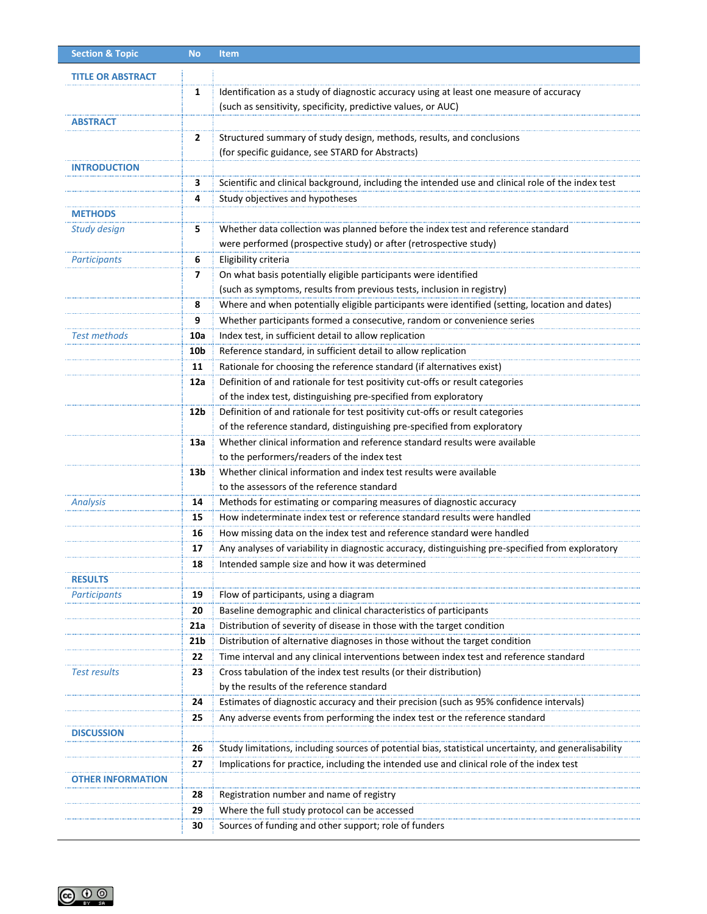| <b>Section &amp; Topic</b> | <b>No</b>              | <b>Item</b>                                                                                                                                 |
|----------------------------|------------------------|---------------------------------------------------------------------------------------------------------------------------------------------|
| <b>TITLE OR ABSTRACT</b>   |                        |                                                                                                                                             |
|                            | 1                      | Identification as a study of diagnostic accuracy using at least one measure of accuracy                                                     |
|                            |                        | (such as sensitivity, specificity, predictive values, or AUC)                                                                               |
| ABSTRACT                   |                        |                                                                                                                                             |
|                            | $\overline{2}$         | Structured summary of study design, methods, results, and conclusions                                                                       |
|                            |                        | (for specific guidance, see STARD for Abstracts)                                                                                            |
| <b>INTRODUCTION</b>        |                        |                                                                                                                                             |
|                            | 3                      | Scientific and clinical background, including the intended use and clinical role of the index test                                          |
|                            | 4                      | Study objectives and hypotheses                                                                                                             |
| <b>METHODS</b>             |                        |                                                                                                                                             |
| <b>Study design</b>        | 5                      | Whether data collection was planned before the index test and reference standard                                                            |
|                            |                        | were performed (prospective study) or after (retrospective study)                                                                           |
| <b>Participants</b>        | 6                      | Eligibility criteria                                                                                                                        |
|                            | 7                      | On what basis potentially eligible participants were identified                                                                             |
|                            |                        | (such as symptoms, results from previous tests, inclusion in registry)                                                                      |
|                            | 8                      | Where and when potentially eligible participants were identified (setting, location and dates)                                              |
|                            | 9                      | Whether participants formed a consecutive, random or convenience series                                                                     |
| Test methods               | 10a                    | Index test, in sufficient detail to allow replication                                                                                       |
|                            | 10b                    | Reference standard, in sufficient detail to allow replication                                                                               |
|                            | 11                     | Rationale for choosing the reference standard (if alternatives exist)                                                                       |
|                            | 12a                    | Definition of and rationale for test positivity cut-offs or result categories                                                               |
|                            |                        | of the index test, distinguishing pre-specified from exploratory                                                                            |
|                            | 12b                    | Definition of and rationale for test positivity cut-offs or result categories                                                               |
|                            |                        | of the reference standard, distinguishing pre-specified from exploratory                                                                    |
|                            | 13a                    | Whether clinical information and reference standard results were available                                                                  |
|                            |                        | to the performers/readers of the index test                                                                                                 |
|                            | 13 <sub>b</sub>        | Whether clinical information and index test results were available                                                                          |
|                            |                        | to the assessors of the reference standard                                                                                                  |
| <b>Analysis</b>            | 14                     | Methods for estimating or comparing measures of diagnostic accuracy                                                                         |
|                            | 15                     | How indeterminate index test or reference standard results were handled                                                                     |
|                            | 16                     | How missing data on the index test and reference standard were handled                                                                      |
|                            | 17                     | Any analyses of variability in diagnostic accuracy, distinguishing pre-specified from exploratory                                           |
|                            | 18                     | Intended sample size and how it was determined                                                                                              |
| <b>RESULTS</b>             |                        | Flow of participants, using a diagram                                                                                                       |
| <b>Participants</b>        | 19                     |                                                                                                                                             |
|                            | 20                     | Baseline demographic and clinical characteristics of participants<br>Distribution of severity of disease in those with the target condition |
|                            | 21a<br>21 <sub>b</sub> | Distribution of alternative diagnoses in those without the target condition                                                                 |
|                            | 22                     | Time interval and any clinical interventions between index test and reference standard                                                      |
| Test results               | 23                     | Cross tabulation of the index test results (or their distribution)                                                                          |
|                            |                        | by the results of the reference standard                                                                                                    |
|                            | 24                     | Estimates of diagnostic accuracy and their precision (such as 95% confidence intervals)                                                     |
|                            | 25                     | Any adverse events from performing the index test or the reference standard                                                                 |
| <b>DISCUSSION</b>          |                        |                                                                                                                                             |
|                            | 26                     | Study limitations, including sources of potential bias, statistical uncertainty, and generalisability                                       |
|                            | 27                     | Implications for practice, including the intended use and clinical role of the index test                                                   |
| OTHER INFORMATION          |                        |                                                                                                                                             |
|                            | 28                     | Registration number and name of registry                                                                                                    |
|                            | 29                     | Where the full study protocol can be accessed                                                                                               |
|                            | 30                     | Sources of funding and other support; role of funders                                                                                       |
|                            |                        |                                                                                                                                             |